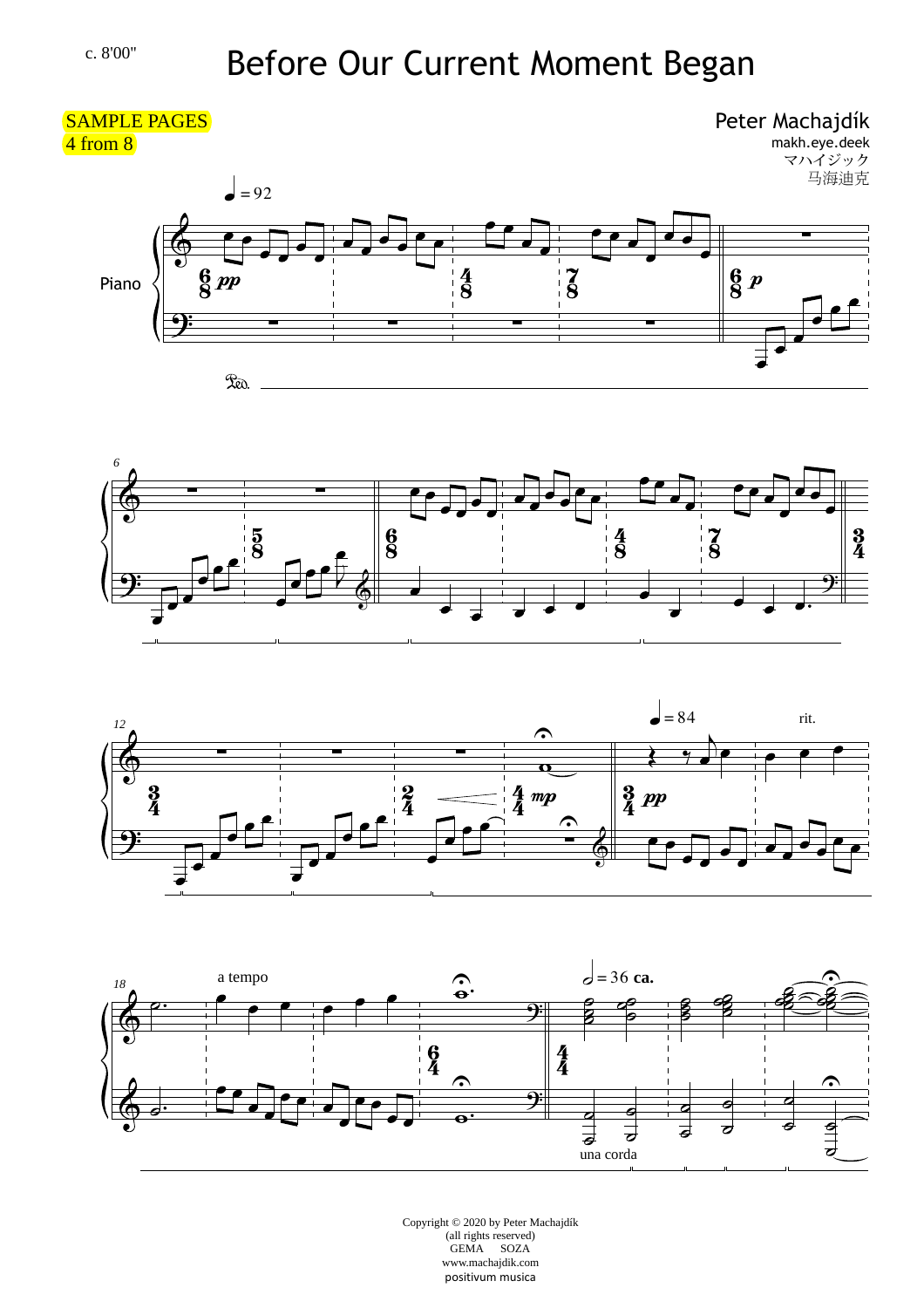## Before Our Current Moment Began









Copyright © 2020 by Peter Machajdík (all rights reserved) GEMA SOZA www.machajdik.com positivum musica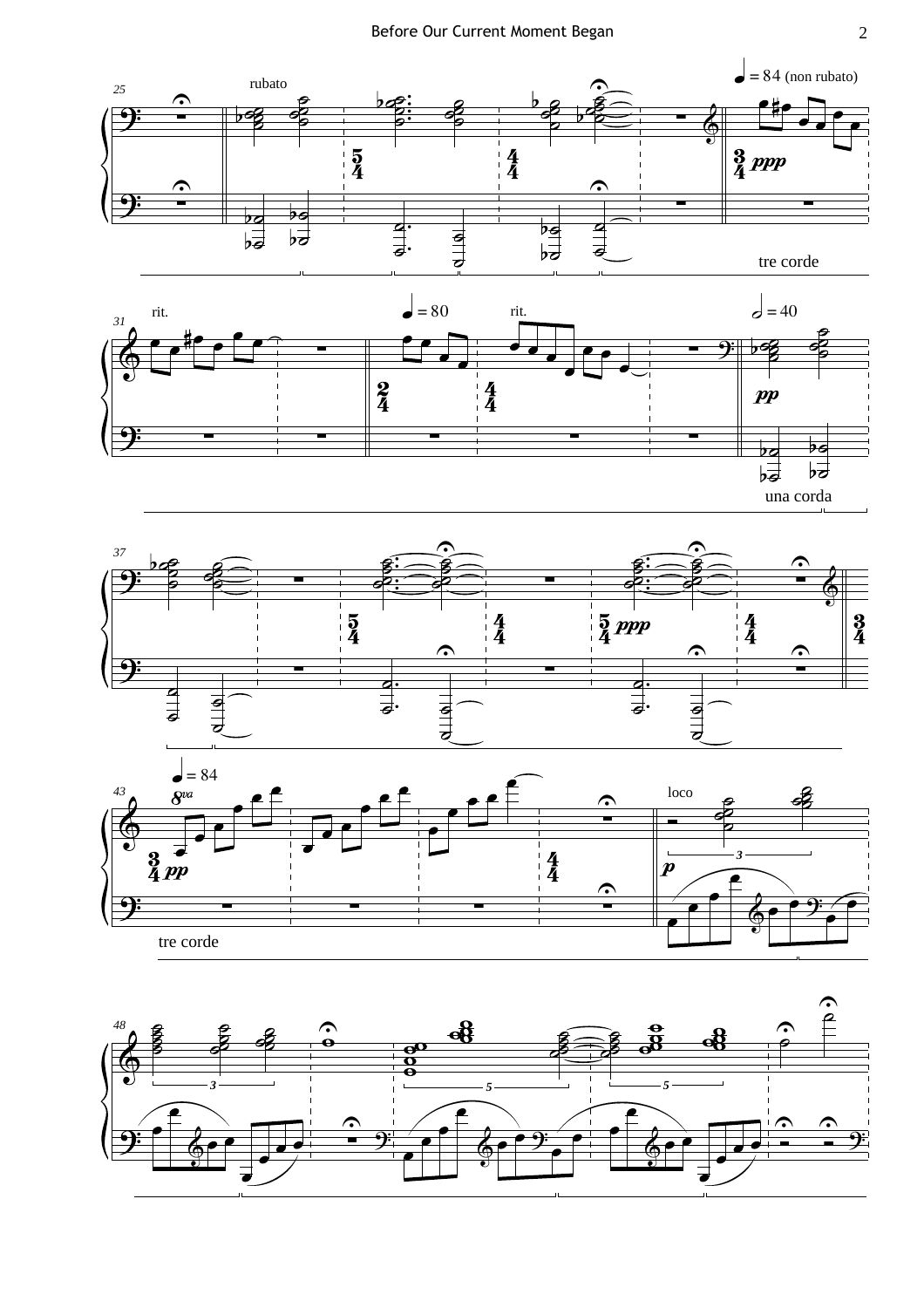







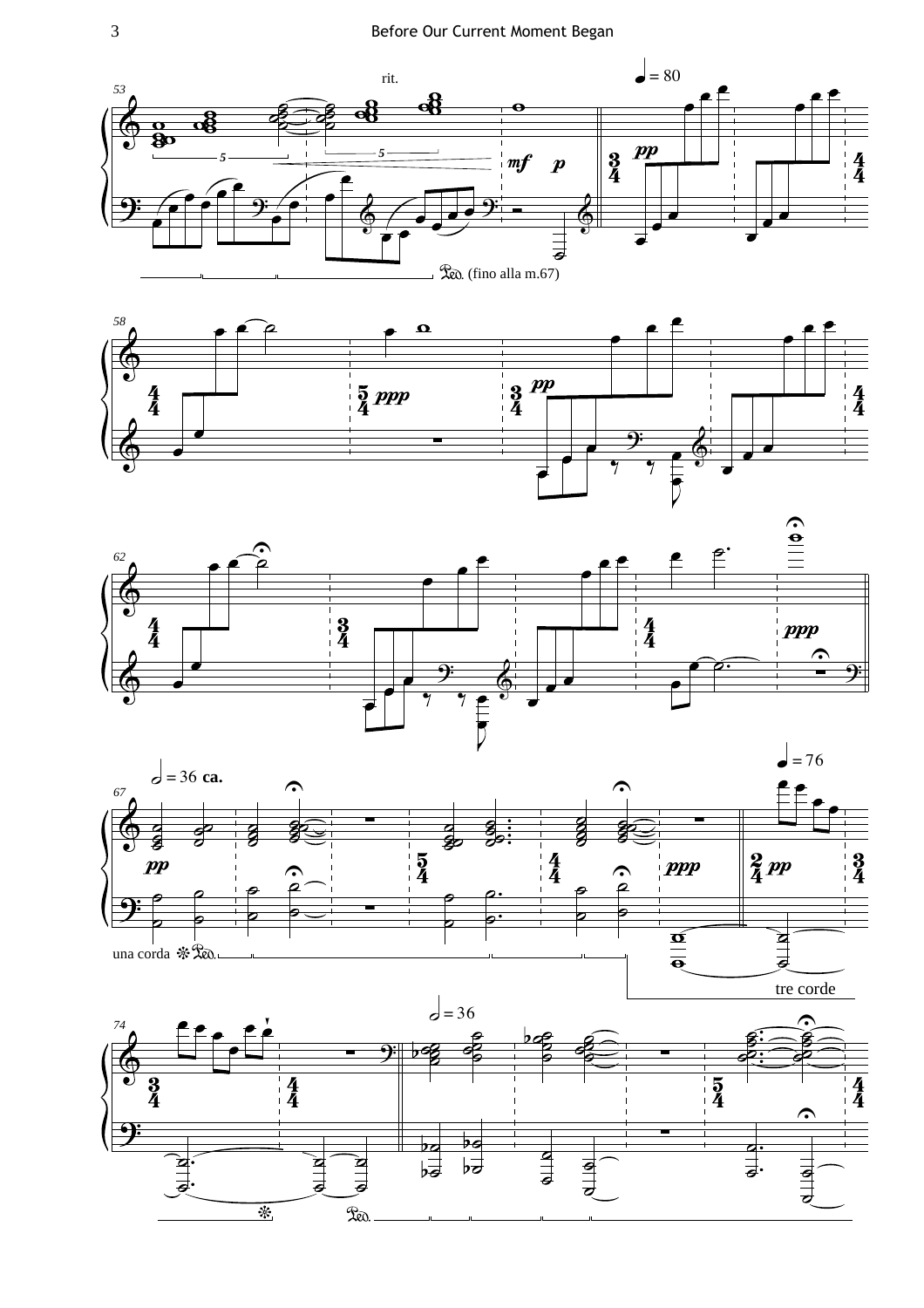